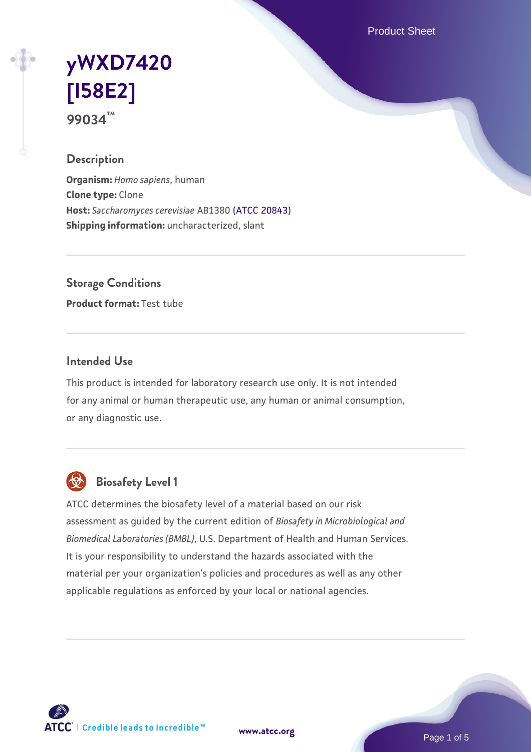Product Sheet

# **[yWXD7420](https://www.atcc.org/products/99034) [\[I58E2\]](https://www.atcc.org/products/99034) 99034™**

## **Description**

**Organism:** *Homo sapiens*, human **Clone type:** Clone **Host:** *Saccharomyces cerevisiae* AB1380 [\(ATCC 20843\)](https://www.atcc.org/products/20843) **Shipping information:** uncharacterized, slant

**Storage Conditions**

**Product format:** Test tube

## **Intended Use**

This product is intended for laboratory research use only. It is not intended for any animal or human therapeutic use, any human or animal consumption, or any diagnostic use.



## **Biosafety Level 1**

ATCC determines the biosafety level of a material based on our risk assessment as guided by the current edition of *Biosafety in Microbiological and Biomedical Laboratories (BMBL)*, U.S. Department of Health and Human Services. It is your responsibility to understand the hazards associated with the material per your organization's policies and procedures as well as any other applicable regulations as enforced by your local or national agencies.

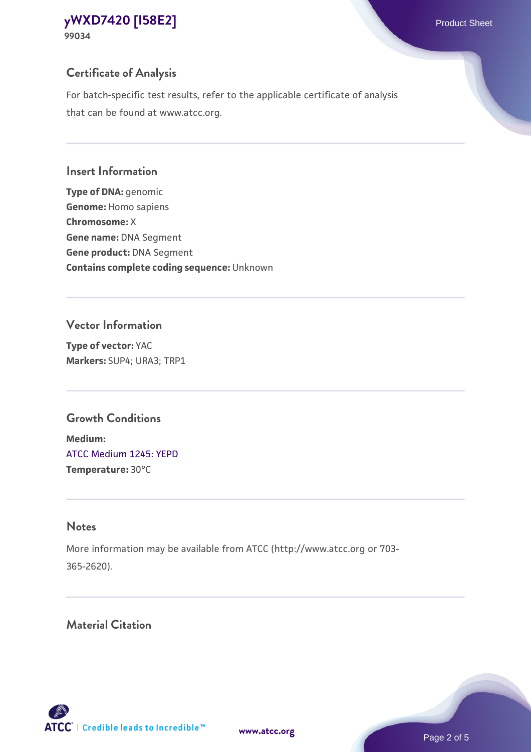## **Certificate of Analysis**

For batch-specific test results, refer to the applicable certificate of analysis that can be found at www.atcc.org.

#### **Insert Information**

**Type of DNA:** genomic **Genome:** Homo sapiens **Chromosome:** X **Gene name:** DNA Segment **Gene product:** DNA Segment **Contains complete coding sequence:** Unknown

#### **Vector Information**

**Type of vector:** YAC **Markers:** SUP4; URA3; TRP1

## **Growth Conditions**

**Medium:**  [ATCC Medium 1245: YEPD](https://www.atcc.org/-/media/product-assets/documents/microbial-media-formulations/1/2/4/5/atcc-medium-1245.pdf?rev=705ca55d1b6f490a808a965d5c072196) **Temperature:** 30°C

## **Notes**

More information may be available from ATCC (http://www.atcc.org or 703- 365-2620).

## **Material Citation**

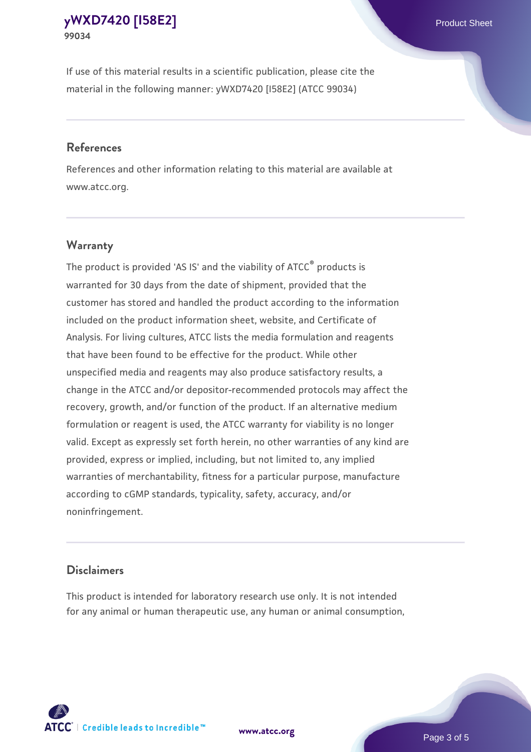If use of this material results in a scientific publication, please cite the material in the following manner: yWXD7420 [I58E2] (ATCC 99034)

#### **References**

References and other information relating to this material are available at www.atcc.org.

## **Warranty**

The product is provided 'AS IS' and the viability of  $ATCC<sup>®</sup>$  products is warranted for 30 days from the date of shipment, provided that the customer has stored and handled the product according to the information included on the product information sheet, website, and Certificate of Analysis. For living cultures, ATCC lists the media formulation and reagents that have been found to be effective for the product. While other unspecified media and reagents may also produce satisfactory results, a change in the ATCC and/or depositor-recommended protocols may affect the recovery, growth, and/or function of the product. If an alternative medium formulation or reagent is used, the ATCC warranty for viability is no longer valid. Except as expressly set forth herein, no other warranties of any kind are provided, express or implied, including, but not limited to, any implied warranties of merchantability, fitness for a particular purpose, manufacture according to cGMP standards, typicality, safety, accuracy, and/or noninfringement.

#### **Disclaimers**

This product is intended for laboratory research use only. It is not intended for any animal or human therapeutic use, any human or animal consumption,





Page 3 of 5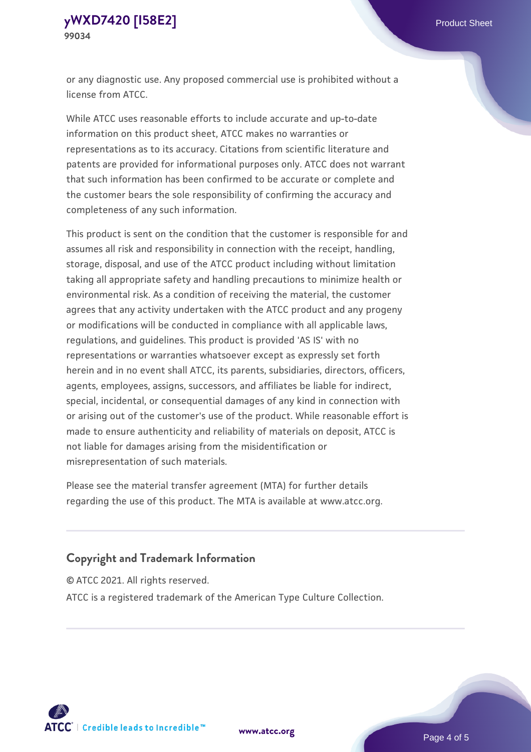or any diagnostic use. Any proposed commercial use is prohibited without a license from ATCC.

While ATCC uses reasonable efforts to include accurate and up-to-date information on this product sheet, ATCC makes no warranties or representations as to its accuracy. Citations from scientific literature and patents are provided for informational purposes only. ATCC does not warrant that such information has been confirmed to be accurate or complete and the customer bears the sole responsibility of confirming the accuracy and completeness of any such information.

This product is sent on the condition that the customer is responsible for and assumes all risk and responsibility in connection with the receipt, handling, storage, disposal, and use of the ATCC product including without limitation taking all appropriate safety and handling precautions to minimize health or environmental risk. As a condition of receiving the material, the customer agrees that any activity undertaken with the ATCC product and any progeny or modifications will be conducted in compliance with all applicable laws, regulations, and guidelines. This product is provided 'AS IS' with no representations or warranties whatsoever except as expressly set forth herein and in no event shall ATCC, its parents, subsidiaries, directors, officers, agents, employees, assigns, successors, and affiliates be liable for indirect, special, incidental, or consequential damages of any kind in connection with or arising out of the customer's use of the product. While reasonable effort is made to ensure authenticity and reliability of materials on deposit, ATCC is not liable for damages arising from the misidentification or misrepresentation of such materials.

Please see the material transfer agreement (MTA) for further details regarding the use of this product. The MTA is available at www.atcc.org.

## **Copyright and Trademark Information**

© ATCC 2021. All rights reserved.

ATCC is a registered trademark of the American Type Culture Collection.



**[www.atcc.org](http://www.atcc.org)**

Page 4 of 5